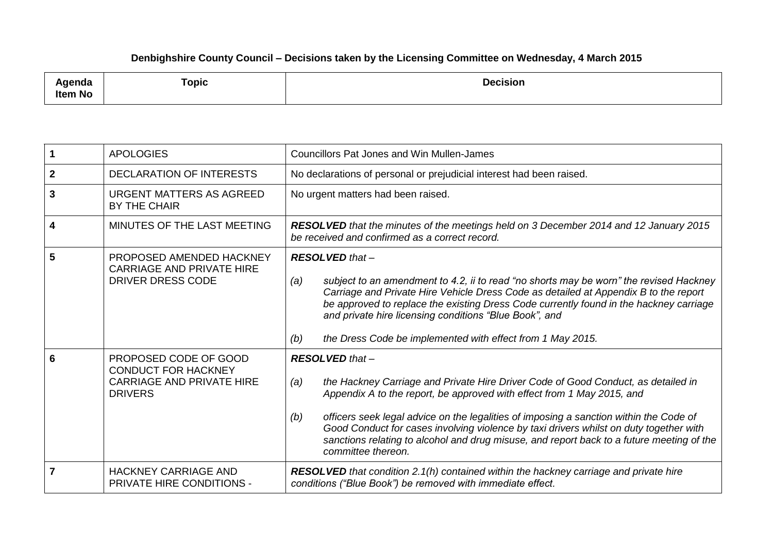## **Denbighshire County Council – Decisions taken by the Licensing Committee on Wednesday, 4 March 2015**

| -------<br>;nua<br>Item No | $\equiv$<br><b>Topic</b> | <b>Decision</b> |
|----------------------------|--------------------------|-----------------|
|----------------------------|--------------------------|-----------------|

|                | <b>APOLOGIES</b>                                                                                          | <b>Councillors Pat Jones and Win Mullen-James</b>                                                                                                                                                                                                                                                                                                                                                                                                                                                          |
|----------------|-----------------------------------------------------------------------------------------------------------|------------------------------------------------------------------------------------------------------------------------------------------------------------------------------------------------------------------------------------------------------------------------------------------------------------------------------------------------------------------------------------------------------------------------------------------------------------------------------------------------------------|
| $\overline{2}$ | <b>DECLARATION OF INTERESTS</b>                                                                           | No declarations of personal or prejudicial interest had been raised.                                                                                                                                                                                                                                                                                                                                                                                                                                       |
| 3              | URGENT MATTERS AS AGREED<br>BY THE CHAIR                                                                  | No urgent matters had been raised.                                                                                                                                                                                                                                                                                                                                                                                                                                                                         |
| 4              | MINUTES OF THE LAST MEETING                                                                               | RESOLVED that the minutes of the meetings held on 3 December 2014 and 12 January 2015<br>be received and confirmed as a correct record.                                                                                                                                                                                                                                                                                                                                                                    |
| 5              | PROPOSED AMENDED HACKNEY<br><b>CARRIAGE AND PRIVATE HIRE</b><br><b>DRIVER DRESS CODE</b>                  | $RESOLVED that -$<br>subject to an amendment to 4.2, ii to read "no shorts may be worn" the revised Hackney<br>(a)<br>Carriage and Private Hire Vehicle Dress Code as detailed at Appendix B to the report<br>be approved to replace the existing Dress Code currently found in the hackney carriage<br>and private hire licensing conditions "Blue Book", and<br>the Dress Code be implemented with effect from 1 May 2015.<br>(b)                                                                        |
| 6              | PROPOSED CODE OF GOOD<br><b>CONDUCT FOR HACKNEY</b><br><b>CARRIAGE AND PRIVATE HIRE</b><br><b>DRIVERS</b> | <b>RESOLVED</b> that -<br>the Hackney Carriage and Private Hire Driver Code of Good Conduct, as detailed in<br>(a)<br>Appendix A to the report, be approved with effect from 1 May 2015, and<br>officers seek legal advice on the legalities of imposing a sanction within the Code of<br>(b)<br>Good Conduct for cases involving violence by taxi drivers whilst on duty together with<br>sanctions relating to alcohol and drug misuse, and report back to a future meeting of the<br>committee thereon. |
| 7              | <b>HACKNEY CARRIAGE AND</b><br><b>PRIVATE HIRE CONDITIONS -</b>                                           | <b>RESOLVED</b> that condition 2.1(h) contained within the hackney carriage and private hire<br>conditions ("Blue Book") be removed with immediate effect.                                                                                                                                                                                                                                                                                                                                                 |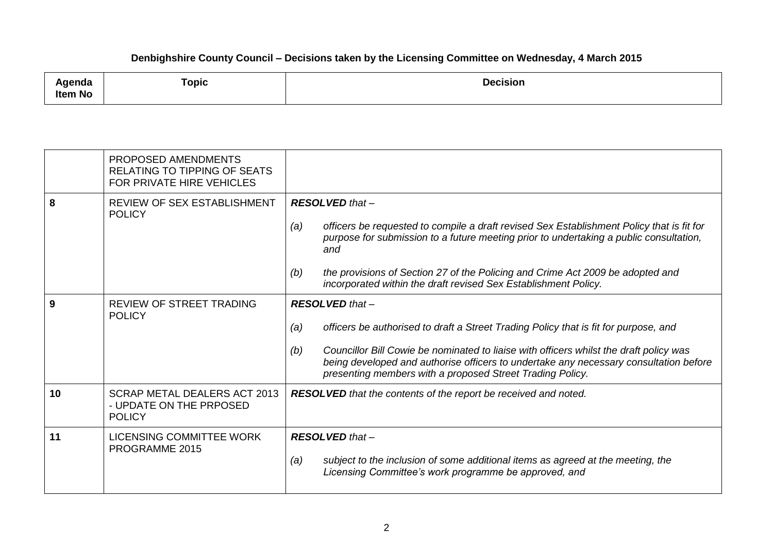## **Denbighshire County Council – Decisions taken by the Licensing Committee on Wednesday, 4 March 2015**

| .<br>:naa<br>ັ<br><b>No</b><br>ltem | Topic<br>and the property of the control of | <b>Decision</b> |
|-------------------------------------|---------------------------------------------|-----------------|
|-------------------------------------|---------------------------------------------|-----------------|

|    | PROPOSED AMENDMENTS<br><b>RELATING TO TIPPING OF SEATS</b><br>FOR PRIVATE HIRE VEHICLES |                                                                                                                                                                                                                                                                                                                                                                                    |
|----|-----------------------------------------------------------------------------------------|------------------------------------------------------------------------------------------------------------------------------------------------------------------------------------------------------------------------------------------------------------------------------------------------------------------------------------------------------------------------------------|
| 8  | <b>REVIEW OF SEX ESTABLISHMENT</b><br><b>POLICY</b>                                     | $RESOLVED that -$<br>officers be requested to compile a draft revised Sex Establishment Policy that is fit for<br>(a)<br>purpose for submission to a future meeting prior to undertaking a public consultation,<br>and<br>the provisions of Section 27 of the Policing and Crime Act 2009 be adopted and<br>(b)<br>incorporated within the draft revised Sex Establishment Policy. |
| 9  | <b>REVIEW OF STREET TRADING</b><br><b>POLICY</b>                                        | $RESOLVED that -$<br>officers be authorised to draft a Street Trading Policy that is fit for purpose, and<br>(a)<br>Councillor Bill Cowie be nominated to liaise with officers whilst the draft policy was<br>(b)<br>being developed and authorise officers to undertake any necessary consultation before<br>presenting members with a proposed Street Trading Policy.            |
| 10 | SCRAP METAL DEALERS ACT 2013<br>- UPDATE ON THE PRPOSED<br><b>POLICY</b>                | <b>RESOLVED</b> that the contents of the report be received and noted.                                                                                                                                                                                                                                                                                                             |
| 11 | <b>LICENSING COMMITTEE WORK</b><br>PROGRAMME 2015                                       | $RESOLVED that -$<br>subject to the inclusion of some additional items as agreed at the meeting, the<br>(a)<br>Licensing Committee's work programme be approved, and                                                                                                                                                                                                               |